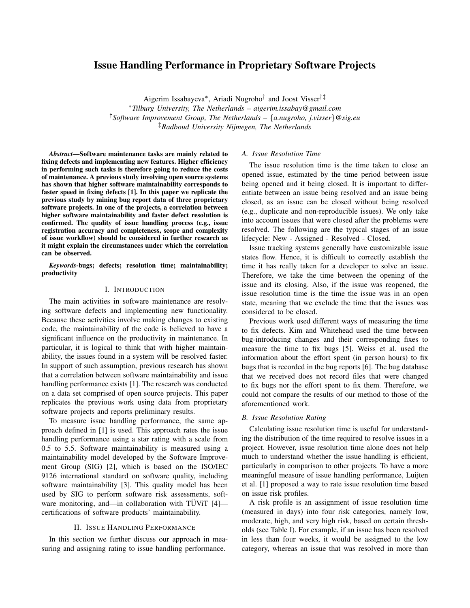# Issue Handling Performance in Proprietary Software Projects

Aigerim Issabayeva⇤, Ariadi Nugroho*†* and Joost Visser*†‡* ⇤*Tilburg University, The Netherlands – aigerim.issabay@gmail.com †Software Improvement Group, The Netherlands – {a.nugroho, j.visser}@sig.eu ‡Radboud University Nijmegen, The Netherlands*

*Abstract*—Software maintenance tasks are mainly related to fixing defects and implementing new features. Higher efficiency in performing such tasks is therefore going to reduce the costs of maintenance. A previous study involving open source systems has shown that higher software maintainability corresponds to faster speed in fixing defects [1]. In this paper we replicate the previous study by mining bug report data of three proprietary software projects. In one of the projects, a correlation between higher software maintainability and faster defect resolution is confirmed. The quality of issue handling process (e.g., issue registration accuracy and completeness, scope and complexity of issue workflow) should be considered in further research as it might explain the circumstances under which the correlation can be observed.

*Keywords*-bugs; defects; resolution time; maintainability; productivity

#### I. INTRODUCTION

The main activities in software maintenance are resolving software defects and implementing new functionality. Because these activities involve making changes to existing code, the maintainability of the code is believed to have a significant influence on the productivity in maintenance. In particular, it is logical to think that with higher maintainability, the issues found in a system will be resolved faster. In support of such assumption, previous research has shown that a correlation between software maintainability and issue handling performance exists [1]. The research was conducted on a data set comprised of open source projects. This paper replicates the previous work using data from proprietary software projects and reports preliminary results.

To measure issue handling performance, the same approach defined in [1] is used. This approach rates the issue handling performance using a star rating with a scale from 0.5 to 5.5. Software maintainability is measured using a maintainability model developed by the Software Improvement Group (SIG) [2], which is based on the ISO/IEC 9126 international standard on software quality, including software maintainability [3]. This quality model has been used by SIG to perform software risk assessments, software monitoring, and—in collaboration with  $\text{TUViT}$  [4] certifications of software products' maintainability.

## II. ISSUE HANDLING PERFORMANCE

In this section we further discuss our approach in measuring and assigning rating to issue handling performance.

## *A. Issue Resolution Time*

The issue resolution time is the time taken to close an opened issue, estimated by the time period between issue being opened and it being closed. It is important to differentiate between an issue being resolved and an issue being closed, as an issue can be closed without being resolved (e.g., duplicate and non-reproducible issues). We only take into account issues that were closed after the problems were resolved. The following are the typical stages of an issue lifecycle: New - Assigned - Resolved - Closed.

Issue tracking systems generally have customizable issue states flow. Hence, it is difficult to correctly establish the time it has really taken for a developer to solve an issue. Therefore, we take the time between the opening of the issue and its closing. Also, if the issue was reopened, the issue resolution time is the time the issue was in an open state, meaning that we exclude the time that the issues was considered to be closed.

Previous work used different ways of measuring the time to fix defects. Kim and Whitehead used the time between bug-introducing changes and their corresponding fixes to measure the time to fix bugs [5]. Weiss et al. used the information about the effort spent (in person hours) to fix bugs that is recorded in the bug reports [6]. The bug database that we received does not record files that were changed to fix bugs nor the effort spent to fix them. Therefore, we could not compare the results of our method to those of the aforementioned work.

## *B. Issue Resolution Rating*

Calculating issue resolution time is useful for understanding the distribution of the time required to resolve issues in a project. However, issue resolution time alone does not help much to understand whether the issue handling is efficient, particularly in comparison to other projects. To have a more meaningful measure of issue handling performance, Luijten et al. [1] proposed a way to rate issue resolution time based on issue risk profiles.

A risk profile is an assignment of issue resolution time (measured in days) into four risk categories, namely low, moderate, high, and very high risk, based on certain thresholds (see Table I). For example, if an issue has been resolved in less than four weeks, it would be assigned to the low category, whereas an issue that was resolved in more than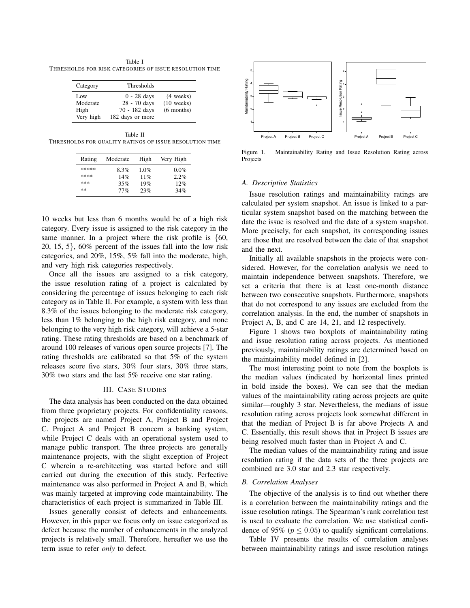Table I THRESHOLDS FOR RISK CATEGORIES OF ISSUE RESOLUTION TIME

| Category                             | Thresholds                                                         |                                                     |
|--------------------------------------|--------------------------------------------------------------------|-----------------------------------------------------|
| Low<br>Moderate<br>High<br>Very high | $0 - 28$ days<br>28 - 70 days<br>70 - 182 days<br>182 days or more | $(4 \text{ weeks})$<br>$(10$ weeks)<br>$(6$ months) |

Table II THRESHOLDS FOR QUALITY RATINGS OF ISSUE RESOLUTION TIME

| Rating | Moderate | High | Very High |
|--------|----------|------|-----------|
| *****  | 8.3%     | 1.0% | $0.0\%$   |
| ****   | 14%      | 11%  | 2.2%      |
| ***    | 35%      | 19%  | 12%       |
| **     | 77%      | 23%  | 34%       |

10 weeks but less than 6 months would be of a high risk category. Every issue is assigned to the risk category in the same manner. In a project where the risk profile is *{*60, 20, 15, 5*}*, 60% percent of the issues fall into the low risk categories, and 20%, 15%, 5% fall into the moderate, high, and very high risk categories respectively.

Once all the issues are assigned to a risk category, the issue resolution rating of a project is calculated by considering the percentage of issues belonging to each risk category as in Table II. For example, a system with less than 8.3% of the issues belonging to the moderate risk category, less than 1% belonging to the high risk category, and none belonging to the very high risk category, will achieve a 5-star rating. These rating thresholds are based on a benchmark of around 100 releases of various open source projects [7]. The rating thresholds are calibrated so that 5% of the system releases score five stars, 30% four stars, 30% three stars, 30% two stars and the last 5% receive one star rating.

## III. CASE STUDIES

The data analysis has been conducted on the data obtained from three proprietary projects. For confidentiality reasons, the projects are named Project A, Project B and Project C. Project A and Project B concern a banking system, while Project C deals with an operational system used to manage public transport. The three projects are generally maintenance projects, with the slight exception of Project C wherein a re-architecting was started before and still carried out during the execution of this study. Perfective maintenance was also performed in Project A and B, which was mainly targeted at improving code maintainability. The characteristics of each project is summarized in Table III.

Issues generally consist of defects and enhancements. However, in this paper we focus only on issue categorized as defect because the number of enhancements in the analyzed projects is relatively small. Therefore, hereafter we use the term issue to refer *only* to defect.



Figure 1. Maintainability Rating and Issue Resolution Rating across Projects

## *A. Descriptive Statistics*

Issue resolution ratings and maintainability ratings are calculated per system snapshot. An issue is linked to a particular system snapshot based on the matching between the date the issue is resolved and the date of a system snapshot. More precisely, for each snapshot, its corresponding issues are those that are resolved between the date of that snapshot and the next.

Initially all available snapshots in the projects were considered. However, for the correlation analysis we need to maintain independence between snapshots. Therefore, we set a criteria that there is at least one-month distance between two consecutive snapshots. Furthermore, snapshots that do not correspond to any issues are excluded from the correlation analysis. In the end, the number of snapshots in Project A, B, and C are 14, 21, and 12 respectively.

Figure 1 shows two boxplots of maintainability rating and issue resolution rating across projects. As mentioned previously, maintainability ratings are determined based on the maintainability model defined in [2].

The most interesting point to note from the boxplots is the median values (indicated by horizontal lines printed in bold inside the boxes). We can see that the median values of the maintainability rating across projects are quite similar—roughly 3 star. Nevertheless, the medians of issue resolution rating across projects look somewhat different in that the median of Project B is far above Projects A and C. Essentially, this result shows that in Project B issues are being resolved much faster than in Project A and C.

The median values of the maintainability rating and issue resolution rating if the data sets of the three projects are combined are 3.0 star and 2.3 star respectively.

## *B. Correlation Analyses*

The objective of the analysis is to find out whether there is a correlation between the maintainability ratings and the issue resolution ratings. The Spearman's rank correlation test is used to evaluate the correlation. We use statistical confidence of 95% ( $p < 0.05$ ) to qualify significant correlations.

Table IV presents the results of correlation analyses between maintainability ratings and issue resolution ratings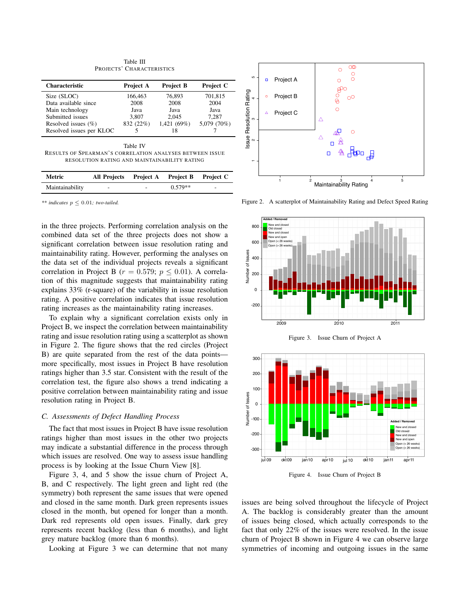Table III PROJECTS' CHARACTERISTICS

| <b>Characteristic</b>    | Project A | <b>Project B</b> | Project C   |
|--------------------------|-----------|------------------|-------------|
| Size (SLOC)              | 166,463   | 76,893           | 701,815     |
| Data available since     | 2008      | 2008             | 2004        |
| Main technology          | Java      | Java             | Java        |
| Submitted issues         | 3.807     | 2.045            | 7.287       |
| Resolved issues $(\% )$  | 832 (22%) | 1,421 (69%)      | 5,079 (70%) |
| Resolved issues per KLOC |           | 18               |             |
|                          |           |                  |             |
|                          | Table IV  |                  |             |

RESULTS OF SPEARMAN'S CORRELATION ANALYSES BETWEEN ISSUE RESOLUTION RATING AND MAINTAINABILITY RATING

| Metric          | All Projects Project A Project B Project C |   |           |   |
|-----------------|--------------------------------------------|---|-----------|---|
| Maintainability | ۰                                          | ۰ | $0.579**$ | - |

 $**$  *indicates*  $p \leq 0.01$ *; two-tailed.* 

in the three projects. Performing correlation analysis on the combined data set of the three projects does not show a significant correlation between issue resolution rating and maintainability rating. However, performing the analyses on the data set of the individual projects reveals a significant correlation in Project B ( $r = 0.579$ ;  $p \le 0.01$ ). A correlation of this magnitude suggests that maintainability rating explains 33% (r-square) of the variability in issue resolution rating. A positive correlation indicates that issue resolution rating increases as the maintainability rating increases.

To explain why a significant correlation exists only in Project B, we inspect the correlation between maintainability rating and issue resolution rating using a scatterplot as shown in Figure 2. The figure shows that the red circles (Project B) are quite separated from the rest of the data points more specifically, most issues in Project B have resolution ratings higher than 3.5 star. Consistent with the result of the correlation test, the figure also shows a trend indicating a positive correlation between maintainability rating and issue resolution rating in Project B.

## *C. Assessments of Defect Handling Process*

The fact that most issues in Project B have issue resolution ratings higher than most issues in the other two projects may indicate a substantial difference in the process through which issues are resolved. One way to assess issue handling process is by looking at the Issue Churn View [8].

Figure 3, 4, and 5 show the issue churn of Project A, B, and C respectively. The light green and light red (the symmetry) both represent the same issues that were opened and closed in the same month. Dark green represents issues closed in the month, but opened for longer than a month. Dark red represents old open issues. Finally, dark grey represents recent backlog (less than 6 months), and light grey mature backlog (more than 6 months).

Looking at Figure 3 we can determine that not many



Figure 2. A scatterplot of Maintainability Rating and Defect Speed Rating









issues are being solved throughout the lifecycle of Project A. The backlog is considerably greater than the amount of issues being closed, which actually corresponds to the fact that only 22% of the issues were resolved. In the issue churn of Project B shown in Figure 4 we can observe large symmetries of incoming and outgoing issues in the same